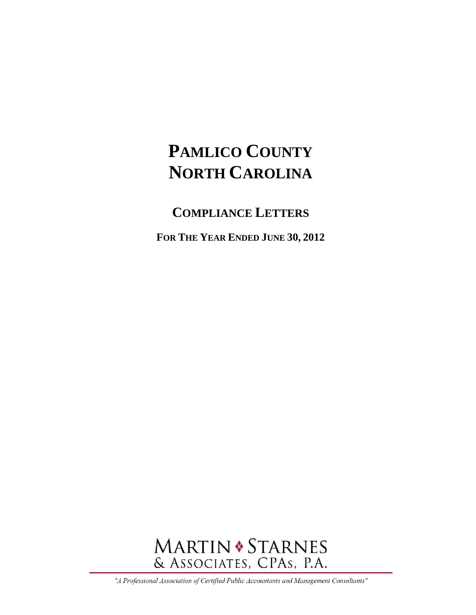## **COMPLIANCE LETTERS**

**FOR THE YEAR ENDED JUNE 30, 2012** 



"A Professional Association of Certified Public Accountants and Management Consultants"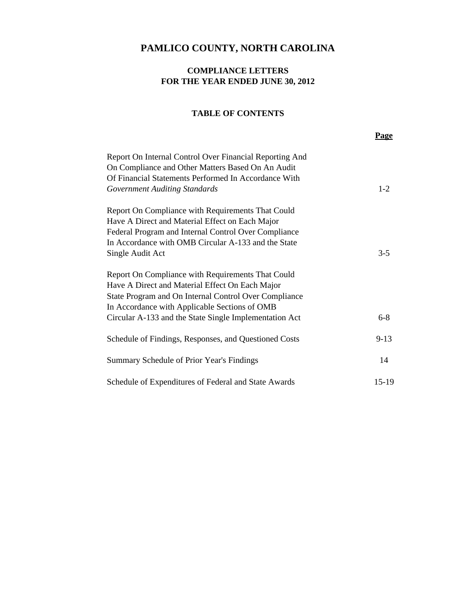#### **COMPLIANCE LETTERS FOR THE YEAR ENDED JUNE 30, 2012**

#### **TABLE OF CONTENTS**

|                                                                                                                                                                                                                                                                          | <b>Page</b> |
|--------------------------------------------------------------------------------------------------------------------------------------------------------------------------------------------------------------------------------------------------------------------------|-------------|
| Report On Internal Control Over Financial Reporting And<br>On Compliance and Other Matters Based On An Audit<br>Of Financial Statements Performed In Accordance With<br><b>Government Auditing Standards</b>                                                             | $1-2$       |
| Report On Compliance with Requirements That Could<br>Have A Direct and Material Effect on Each Major<br>Federal Program and Internal Control Over Compliance<br>In Accordance with OMB Circular A-133 and the State<br>Single Audit Act                                  | $3-5$       |
| Report On Compliance with Requirements That Could<br>Have A Direct and Material Effect On Each Major<br>State Program and On Internal Control Over Compliance<br>In Accordance with Applicable Sections of OMB<br>Circular A-133 and the State Single Implementation Act | $6 - 8$     |
| Schedule of Findings, Responses, and Questioned Costs                                                                                                                                                                                                                    | $9 - 13$    |
| Summary Schedule of Prior Year's Findings                                                                                                                                                                                                                                | 14          |
| Schedule of Expenditures of Federal and State Awards                                                                                                                                                                                                                     | 15-19       |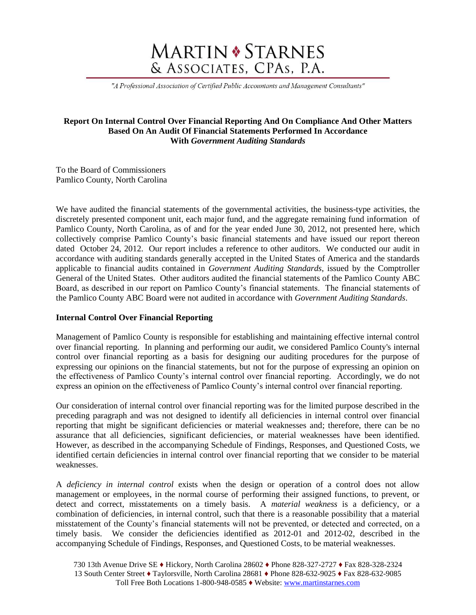# **MARTIN \* STARNES** & ASSOCIATES, CPAs, P.A.

"A Professional Association of Certified Public Accountants and Management Consultants"

#### **Report On Internal Control Over Financial Reporting And On Compliance And Other Matters Based On An Audit Of Financial Statements Performed In Accordance With** *Government Auditing Standards*

To the Board of Commissioners Pamlico County, North Carolina

We have audited the financial statements of the governmental activities, the business-type activities, the discretely presented component unit, each major fund, and the aggregate remaining fund information of Pamlico County, North Carolina, as of and for the year ended June 30, 2012, not presented here, which collectively comprise Pamlico County's basic financial statements and have issued our report thereon dated October 24, 2012. Our report includes a reference to other auditors. We conducted our audit in accordance with auditing standards generally accepted in the United States of America and the standards applicable to financial audits contained in *Government Auditing Standards*, issued by the Comptroller General of the United States. Other auditors audited the financial statements of the Pamlico County ABC Board, as described in our report on Pamlico County's financial statements. The financial statements of the Pamlico County ABC Board were not audited in accordance with *Government Auditing Standards*.

#### **Internal Control Over Financial Reporting**

Management of Pamlico County is responsible for establishing and maintaining effective internal control over financial reporting. In planning and performing our audit, we considered Pamlico County's internal control over financial reporting as a basis for designing our auditing procedures for the purpose of expressing our opinions on the financial statements, but not for the purpose of expressing an opinion on the effectiveness of Pamlico County's internal control over financial reporting. Accordingly, we do not express an opinion on the effectiveness of Pamlico County's internal control over financial reporting.

Our consideration of internal control over financial reporting was for the limited purpose described in the preceding paragraph and was not designed to identify all deficiencies in internal control over financial reporting that might be significant deficiencies or material weaknesses and; therefore, there can be no assurance that all deficiencies, significant deficiencies, or material weaknesses have been identified. However, as described in the accompanying Schedule of Findings, Responses, and Questioned Costs, we identified certain deficiencies in internal control over financial reporting that we consider to be material weaknesses.

A *deficiency in internal control* exists when the design or operation of a control does not allow management or employees, in the normal course of performing their assigned functions, to prevent, or detect and correct, misstatements on a timely basis. A *material weakness* is a deficiency, or a combination of deficiencies, in internal control, such that there is a reasonable possibility that a material misstatement of the County's financial statements will not be prevented, or detected and corrected, on a timely basis. We consider the deficiencies identified as 2012-01 and 2012-02, described in the accompanying Schedule of Findings, Responses, and Questioned Costs, to be material weaknesses.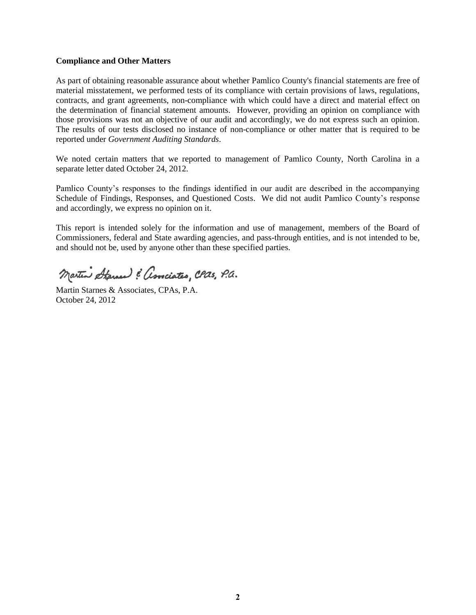#### **Compliance and Other Matters**

As part of obtaining reasonable assurance about whether Pamlico County's financial statements are free of material misstatement, we performed tests of its compliance with certain provisions of laws, regulations, contracts, and grant agreements, non-compliance with which could have a direct and material effect on the determination of financial statement amounts. However, providing an opinion on compliance with those provisions was not an objective of our audit and accordingly, we do not express such an opinion. The results of our tests disclosed no instance of non-compliance or other matter that is required to be reported under *Government Auditing Standards*.

We noted certain matters that we reported to management of Pamlico County, North Carolina in a separate letter dated October 24, 2012.

Pamlico County's responses to the findings identified in our audit are described in the accompanying Schedule of Findings, Responses, and Questioned Costs. We did not audit Pamlico County's response and accordingly, we express no opinion on it.

This report is intended solely for the information and use of management, members of the Board of Commissioners, federal and State awarding agencies, and pass-through entities, and is not intended to be, and should not be, used by anyone other than these specified parties.

Martin Starner : associates, CPas, P.a.

Martin Starnes & Associates, CPAs, P.A. October 24, 2012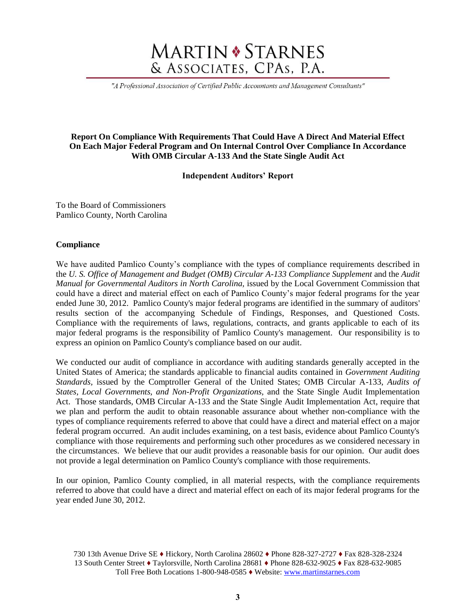# **MARTIN \* STARNES** & ASSOCIATES, CPAs, P.A.

"A Professional Association of Certified Public Accountants and Management Consultants"

#### **Report On Compliance With Requirements That Could Have A Direct And Material Effect On Each Major Federal Program and On Internal Control Over Compliance In Accordance With OMB Circular A-133 And the State Single Audit Act**

**Independent Auditors' Report**

To the Board of Commissioners Pamlico County, North Carolina

#### **Compliance**

We have audited Pamlico County's compliance with the types of compliance requirements described in the *U. S. Office of Management and Budget (OMB) Circular A-133 Compliance Supplement and the <i>Audit Manual for Governmental Auditors in North Carolina,* issued by the Local Government Commission that could have a direct and material effect on each of Pamlico County's major federal programs for the year ended June 30, 2012. Pamlico County's major federal programs are identified in the summary of auditors' results section of the accompanying Schedule of Findings, Responses, and Questioned Costs. Compliance with the requirements of laws, regulations, contracts, and grants applicable to each of its major federal programs is the responsibility of Pamlico County's management. Our responsibility is to express an opinion on Pamlico County's compliance based on our audit.

We conducted our audit of compliance in accordance with auditing standards generally accepted in the United States of America; the standards applicable to financial audits contained in *Government Auditing Standards,* issued by the Comptroller General of the United States; OMB Circular A-133, *Audits of States, Local Governments, and Non-Profit Organizations,* and the State Single Audit Implementation Act. Those standards, OMB Circular A-133 and the State Single Audit Implementation Act, require that we plan and perform the audit to obtain reasonable assurance about whether non-compliance with the types of compliance requirements referred to above that could have a direct and material effect on a major federal program occurred. An audit includes examining, on a test basis, evidence about Pamlico County's compliance with those requirements and performing such other procedures as we considered necessary in the circumstances. We believe that our audit provides a reasonable basis for our opinion. Our audit does not provide a legal determination on Pamlico County's compliance with those requirements.

In our opinion, Pamlico County complied, in all material respects, with the compliance requirements referred to above that could have a direct and material effect on each of its major federal programs for the year ended June 30, 2012.

<sup>730 13</sup>th Avenue Drive SE ♦ Hickory, North Carolina 28602 ♦ Phone 828-327-2727 ♦ Fax 828-328-2324 13 South Center Street ♦ Taylorsville, North Carolina 28681 ♦ Phone 828-632-9025 ♦ Fax 828-632-9085 Toll Free Both Locations 1-800-948-0585 ♦ Website: www.martinstarnes.com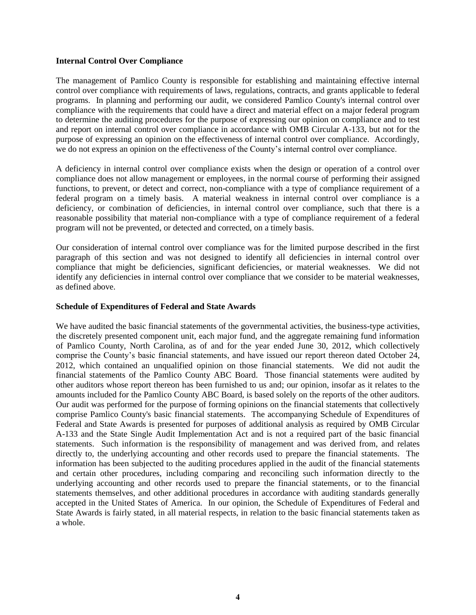#### **Internal Control Over Compliance**

The management of Pamlico County is responsible for establishing and maintaining effective internal control over compliance with requirements of laws, regulations, contracts, and grants applicable to federal programs. In planning and performing our audit, we considered Pamlico County's internal control over compliance with the requirements that could have a direct and material effect on a major federal program to determine the auditing procedures for the purpose of expressing our opinion on compliance and to test and report on internal control over compliance in accordance with OMB Circular A-133, but not for the purpose of expressing an opinion on the effectiveness of internal control over compliance. Accordingly, we do not express an opinion on the effectiveness of the County's internal control over compliance.

A deficiency in internal control over compliance exists when the design or operation of a control over compliance does not allow management or employees, in the normal course of performing their assigned functions, to prevent, or detect and correct, non-compliance with a type of compliance requirement of a federal program on a timely basis. A material weakness in internal control over compliance is a deficiency, or combination of deficiencies, in internal control over compliance, such that there is a reasonable possibility that material non-compliance with a type of compliance requirement of a federal program will not be prevented, or detected and corrected, on a timely basis.

Our consideration of internal control over compliance was for the limited purpose described in the first paragraph of this section and was not designed to identify all deficiencies in internal control over compliance that might be deficiencies, significant deficiencies, or material weaknesses. We did not identify any deficiencies in internal control over compliance that we consider to be material weaknesses, as defined above.

#### **Schedule of Expenditures of Federal and State Awards**

We have audited the basic financial statements of the governmental activities, the business-type activities, the discretely presented component unit, each major fund, and the aggregate remaining fund information of Pamlico County, North Carolina, as of and for the year ended June 30, 2012, which collectively comprise the County's basic financial statements, and have issued our report thereon dated October 24, 2012, which contained an unqualified opinion on those financial statements. We did not audit the financial statements of the Pamlico County ABC Board. Those financial statements were audited by other auditors whose report thereon has been furnished to us and; our opinion, insofar as it relates to the amounts included for the Pamlico County ABC Board, is based solely on the reports of the other auditors. Our audit was performed for the purpose of forming opinions on the financial statements that collectively comprise Pamlico County's basic financial statements. The accompanying Schedule of Expenditures of Federal and State Awards is presented for purposes of additional analysis as required by OMB Circular A-133 and the State Single Audit Implementation Act and is not a required part of the basic financial statements. Such information is the responsibility of management and was derived from, and relates directly to, the underlying accounting and other records used to prepare the financial statements. The information has been subjected to the auditing procedures applied in the audit of the financial statements and certain other procedures, including comparing and reconciling such information directly to the underlying accounting and other records used to prepare the financial statements, or to the financial statements themselves, and other additional procedures in accordance with auditing standards generally accepted in the United States of America. In our opinion, the Schedule of Expenditures of Federal and State Awards is fairly stated, in all material respects, in relation to the basic financial statements taken as a whole.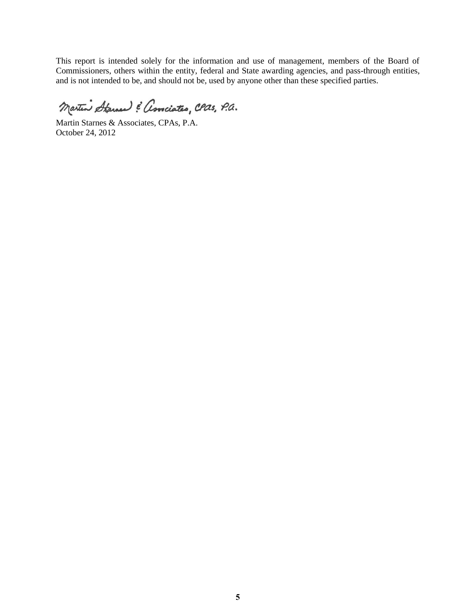This report is intended solely for the information and use of management, members of the Board of Commissioners, others within the entity, federal and State awarding agencies, and pass-through entities, and is not intended to be, and should not be, used by anyone other than these specified parties.

Martin Starned & Associates, CPas, P.a.

Martin Starnes & Associates, CPAs, P.A. October 24, 2012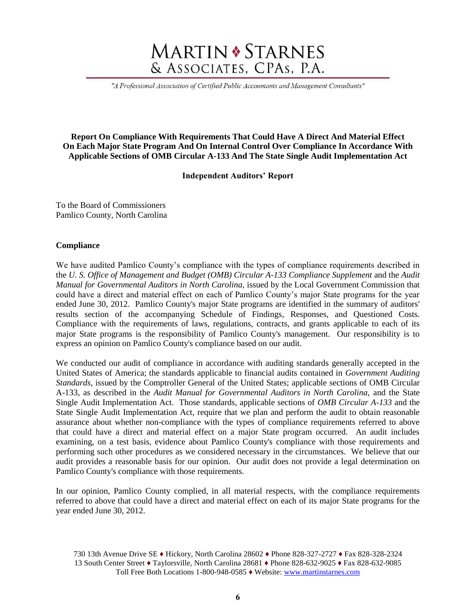# **MARTIN \* STARNES** & ASSOCIATES, CPAs, P.A.

"A Professional Association of Certified Public Accountants and Management Consultants"

#### **Report On Compliance With Requirements That Could Have A Direct And Material Effect On Each Major State Program And On Internal Control Over Compliance In Accordance With Applicable Sections of OMB Circular A-133 And The State Single Audit Implementation Act**

#### **Independent Auditors' Report**

To the Board of Commissioners Pamlico County, North Carolina

#### **Compliance**

We have audited Pamlico County's compliance with the types of compliance requirements described in the *U. S. Office of Management and Budget (OMB) Circular A-133 Compliance Supplement* and the *Audit Manual for Governmental Auditors in North Carolina,* issued by the Local Government Commission that could have a direct and material effect on each of Pamlico County's major State programs for the year ended June 30, 2012. Pamlico County's major State programs are identified in the summary of auditors' results section of the accompanying Schedule of Findings, Responses, and Questioned Costs. Compliance with the requirements of laws, regulations, contracts, and grants applicable to each of its major State programs is the responsibility of Pamlico County's management. Our responsibility is to express an opinion on Pamlico County's compliance based on our audit.

We conducted our audit of compliance in accordance with auditing standards generally accepted in the United States of America; the standards applicable to financial audits contained in *Government Auditing Standards*, issued by the Comptroller General of the United States; applicable sections of OMB Circular A-133, as described in the *Audit Manual for Governmental Auditors in North Carolina,* and the State Single Audit Implementation Act. Those standards, applicable sections of *OMB Circular A-133* and the State Single Audit Implementation Act, require that we plan and perform the audit to obtain reasonable assurance about whether non-compliance with the types of compliance requirements referred to above that could have a direct and material effect on a major State program occurred. An audit includes examining, on a test basis, evidence about Pamlico County's compliance with those requirements and performing such other procedures as we considered necessary in the circumstances. We believe that our audit provides a reasonable basis for our opinion. Our audit does not provide a legal determination on Pamlico County's compliance with those requirements.

In our opinion, Pamlico County complied, in all material respects, with the compliance requirements referred to above that could have a direct and material effect on each of its major State programs for the year ended June 30, 2012.

<sup>730 13</sup>th Avenue Drive SE ♦ Hickory, North Carolina 28602 ♦ Phone 828-327-2727 ♦ Fax 828-328-2324 13 South Center Street ♦ Taylorsville, North Carolina 28681 ♦ Phone 828-632-9025 ♦ Fax 828-632-9085 Toll Free Both Locations 1-800-948-0585 ♦ Website: www.martinstarnes.com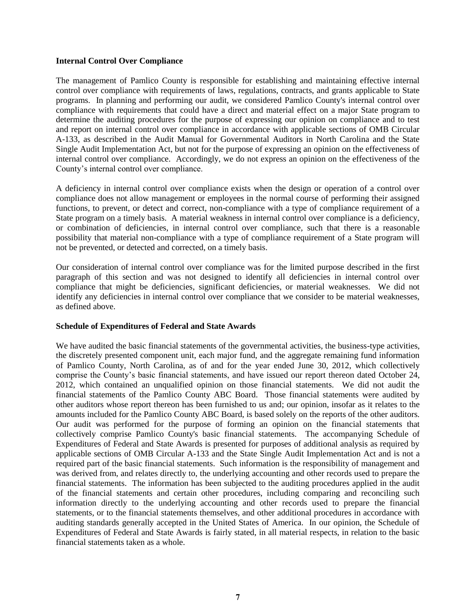#### **Internal Control Over Compliance**

The management of Pamlico County is responsible for establishing and maintaining effective internal control over compliance with requirements of laws, regulations, contracts, and grants applicable to State programs. In planning and performing our audit, we considered Pamlico County's internal control over compliance with requirements that could have a direct and material effect on a major State program to determine the auditing procedures for the purpose of expressing our opinion on compliance and to test and report on internal control over compliance in accordance with applicable sections of OMB Circular A-133, as described in the Audit Manual for Governmental Auditors in North Carolina and the State Single Audit Implementation Act, but not for the purpose of expressing an opinion on the effectiveness of internal control over compliance. Accordingly, we do not express an opinion on the effectiveness of the County's internal control over compliance.

A deficiency in internal control over compliance exists when the design or operation of a control over compliance does not allow management or employees in the normal course of performing their assigned functions, to prevent, or detect and correct, non-compliance with a type of compliance requirement of a State program on a timely basis. A material weakness in internal control over compliance is a deficiency, or combination of deficiencies, in internal control over compliance, such that there is a reasonable possibility that material non-compliance with a type of compliance requirement of a State program will not be prevented, or detected and corrected, on a timely basis.

Our consideration of internal control over compliance was for the limited purpose described in the first paragraph of this section and was not designed to identify all deficiencies in internal control over compliance that might be deficiencies, significant deficiencies, or material weaknesses. We did not identify any deficiencies in internal control over compliance that we consider to be material weaknesses, as defined above.

#### **Schedule of Expenditures of Federal and State Awards**

We have audited the basic financial statements of the governmental activities, the business-type activities, the discretely presented component unit, each major fund, and the aggregate remaining fund information of Pamlico County, North Carolina, as of and for the year ended June 30, 2012, which collectively comprise the County's basic financial statements, and have issued our report thereon dated October 24, 2012, which contained an unqualified opinion on those financial statements. We did not audit the financial statements of the Pamlico County ABC Board. Those financial statements were audited by other auditors whose report thereon has been furnished to us and; our opinion, insofar as it relates to the amounts included for the Pamlico County ABC Board, is based solely on the reports of the other auditors. Our audit was performed for the purpose of forming an opinion on the financial statements that collectively comprise Pamlico County's basic financial statements. The accompanying Schedule of Expenditures of Federal and State Awards is presented for purposes of additional analysis as required by applicable sections of OMB Circular A-133 and the State Single Audit Implementation Act and is not a required part of the basic financial statements. Such information is the responsibility of management and was derived from, and relates directly to, the underlying accounting and other records used to prepare the financial statements. The information has been subjected to the auditing procedures applied in the audit of the financial statements and certain other procedures, including comparing and reconciling such information directly to the underlying accounting and other records used to prepare the financial statements, or to the financial statements themselves, and other additional procedures in accordance with auditing standards generally accepted in the United States of America. In our opinion, the Schedule of Expenditures of Federal and State Awards is fairly stated, in all material respects, in relation to the basic financial statements taken as a whole.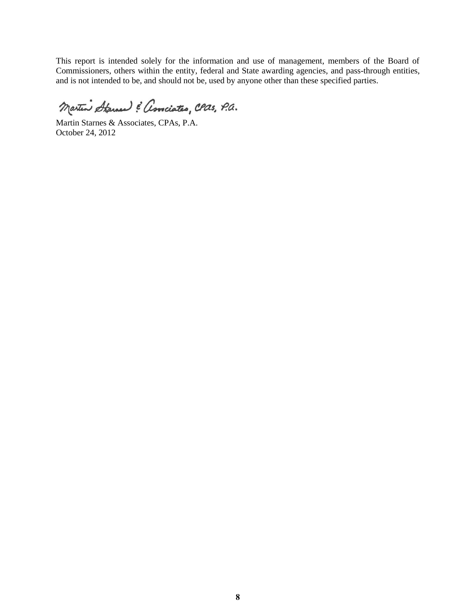This report is intended solely for the information and use of management, members of the Board of Commissioners, others within the entity, federal and State awarding agencies, and pass-through entities, and is not intended to be, and should not be, used by anyone other than these specified parties.

Martin Starned & Associates, CPas, P.a.

Martin Starnes & Associates, CPAs, P.A. October 24, 2012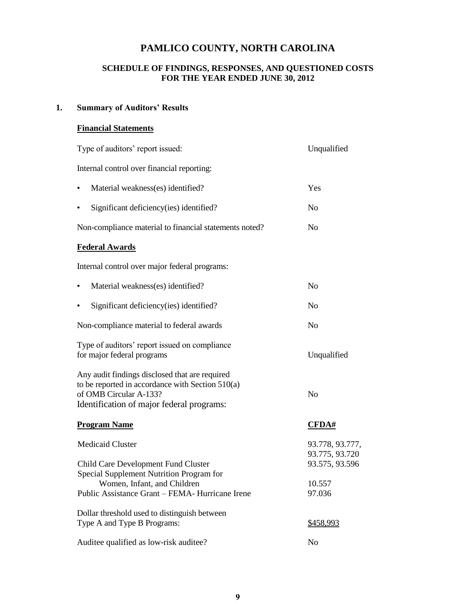#### **SCHEDULE OF FINDINGS, RESPONSES, AND QUESTIONED COSTS FOR THE YEAR ENDED JUNE 30, 2012**

### **1. Summary of Auditors' Results**

### **Financial Statements**

| Type of auditors' report issued:                                                                                                                                          | Unqualified                                         |
|---------------------------------------------------------------------------------------------------------------------------------------------------------------------------|-----------------------------------------------------|
| Internal control over financial reporting:                                                                                                                                |                                                     |
| Material weakness(es) identified?                                                                                                                                         | Yes                                                 |
| Significant deficiency(ies) identified?                                                                                                                                   | N <sub>0</sub>                                      |
| Non-compliance material to financial statements noted?                                                                                                                    | N <sub>0</sub>                                      |
| <b>Federal Awards</b>                                                                                                                                                     |                                                     |
| Internal control over major federal programs:                                                                                                                             |                                                     |
| Material weakness(es) identified?<br>$\bullet$                                                                                                                            | N <sub>o</sub>                                      |
| Significant deficiency(ies) identified?                                                                                                                                   | N <sub>o</sub>                                      |
| Non-compliance material to federal awards                                                                                                                                 | N <sub>o</sub>                                      |
| Type of auditors' report issued on compliance<br>for major federal programs                                                                                               | Unqualified                                         |
| Any audit findings disclosed that are required<br>to be reported in accordance with Section 510(a)<br>of OMB Circular A-133?<br>Identification of major federal programs: | N <sub>o</sub>                                      |
| <b>Program Name</b>                                                                                                                                                       | $\overline{\text{CFDA#}}$                           |
| <b>Medicaid Cluster</b><br>Child Care Development Fund Cluster                                                                                                            | 93.778, 93.777,<br>93.775, 93.720<br>93.575, 93.596 |
| Special Supplement Nutrition Program for<br>Women, Infant, and Children<br>Public Assistance Grant - FEMA- Hurricane Irene                                                | 10.557<br>97.036                                    |
| Dollar threshold used to distinguish between<br>Type A and Type B Programs:                                                                                               | \$458,993                                           |
| Auditee qualified as low-risk auditee?                                                                                                                                    | N <sub>o</sub>                                      |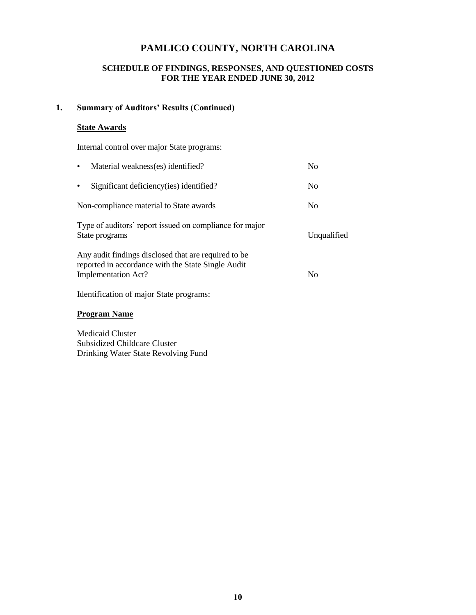### **SCHEDULE OF FINDINGS, RESPONSES, AND QUESTIONED COSTS FOR THE YEAR ENDED JUNE 30, 2012**

### **1. Summary of Auditors' Results (Continued)**

#### **State Awards**

Internal control over major State programs:

| Material weakness(es) identified?<br>$\bullet$                                                                                           | N <sub>0</sub> |
|------------------------------------------------------------------------------------------------------------------------------------------|----------------|
| Significant deficiency (ies) identified?<br>$\bullet$                                                                                    | N <sub>0</sub> |
| Non-compliance material to State awards                                                                                                  | N <sub>0</sub> |
| Type of auditors' report issued on compliance for major<br>State programs                                                                | Unqualified    |
| Any audit findings disclosed that are required to be<br>reported in accordance with the State Single Audit<br><b>Implementation Act?</b> | N <sub>0</sub> |
| Identification of major State programs:                                                                                                  |                |

 **Program Name** 

 Medicaid Cluster Subsidized Childcare Cluster Drinking Water State Revolving Fund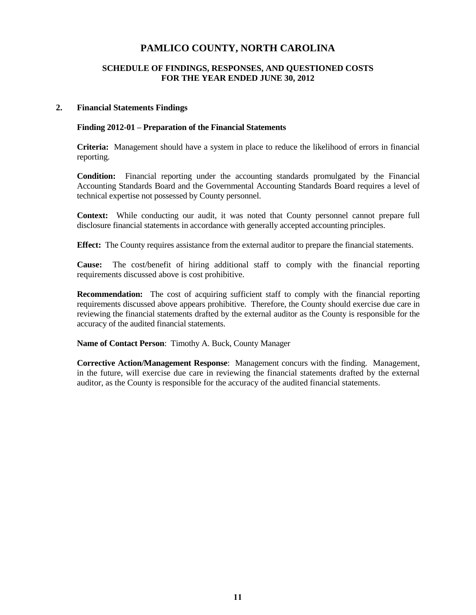#### **SCHEDULE OF FINDINGS, RESPONSES, AND QUESTIONED COSTS FOR THE YEAR ENDED JUNE 30, 2012**

#### **2. Financial Statements Findings**

#### **Finding 2012-01 – Preparation of the Financial Statements**

**Criteria:** Management should have a system in place to reduce the likelihood of errors in financial reporting.

**Condition:** Financial reporting under the accounting standards promulgated by the Financial Accounting Standards Board and the Governmental Accounting Standards Board requires a level of technical expertise not possessed by County personnel.

**Context:** While conducting our audit, it was noted that County personnel cannot prepare full disclosure financial statements in accordance with generally accepted accounting principles.

**Effect:** The County requires assistance from the external auditor to prepare the financial statements.

**Cause:** The cost/benefit of hiring additional staff to comply with the financial reporting requirements discussed above is cost prohibitive.

**Recommendation:** The cost of acquiring sufficient staff to comply with the financial reporting requirements discussed above appears prohibitive. Therefore, the County should exercise due care in reviewing the financial statements drafted by the external auditor as the County is responsible for the accuracy of the audited financial statements.

**Name of Contact Person**: Timothy A. Buck, County Manager

**Corrective Action/Management Response**: Management concurs with the finding. Management, in the future, will exercise due care in reviewing the financial statements drafted by the external auditor, as the County is responsible for the accuracy of the audited financial statements.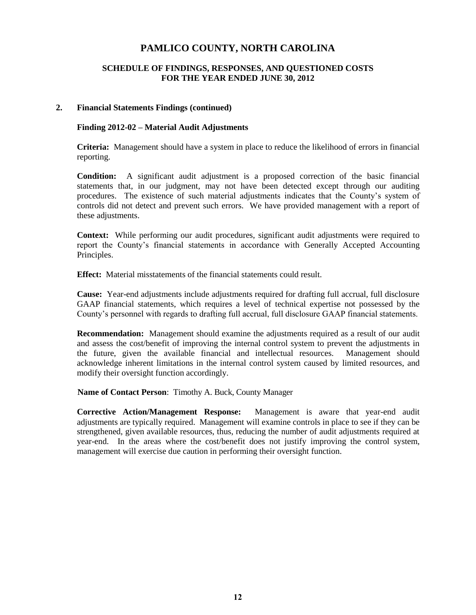#### **SCHEDULE OF FINDINGS, RESPONSES, AND QUESTIONED COSTS FOR THE YEAR ENDED JUNE 30, 2012**

#### **2. Financial Statements Findings (continued)**

#### **Finding 2012-02 – Material Audit Adjustments**

**Criteria:** Management should have a system in place to reduce the likelihood of errors in financial reporting.

**Condition:** A significant audit adjustment is a proposed correction of the basic financial statements that, in our judgment, may not have been detected except through our auditing procedures. The existence of such material adjustments indicates that the County's system of controls did not detect and prevent such errors. We have provided management with a report of these adjustments.

**Context:** While performing our audit procedures, significant audit adjustments were required to report the County's financial statements in accordance with Generally Accepted Accounting Principles.

**Effect:** Material misstatements of the financial statements could result.

**Cause:** Year-end adjustments include adjustments required for drafting full accrual, full disclosure GAAP financial statements, which requires a level of technical expertise not possessed by the County's personnel with regards to drafting full accrual, full disclosure GAAP financial statements.

**Recommendation:** Management should examine the adjustments required as a result of our audit and assess the cost/benefit of improving the internal control system to prevent the adjustments in the future, given the available financial and intellectual resources. Management should acknowledge inherent limitations in the internal control system caused by limited resources, and modify their oversight function accordingly.

**Name of Contact Person**: Timothy A. Buck, County Manager

**Corrective Action/Management Response:** Management is aware that year-end audit adjustments are typically required. Management will examine controls in place to see if they can be strengthened, given available resources, thus, reducing the number of audit adjustments required at year-end. In the areas where the cost/benefit does not justify improving the control system, management will exercise due caution in performing their oversight function.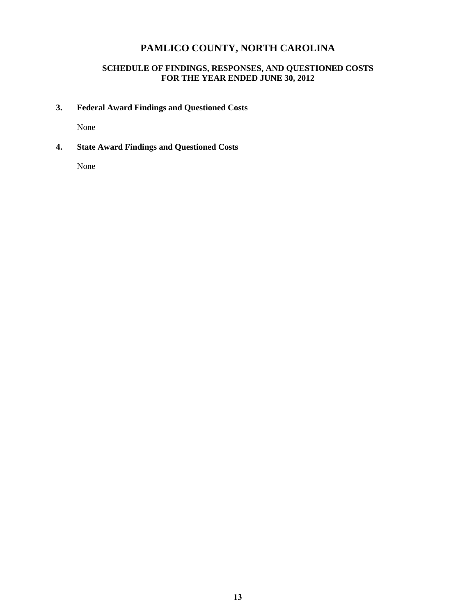### **SCHEDULE OF FINDINGS, RESPONSES, AND QUESTIONED COSTS FOR THE YEAR ENDED JUNE 30, 2012**

### **3. Federal Award Findings and Questioned Costs**

None

**4. State Award Findings and Questioned Costs** 

None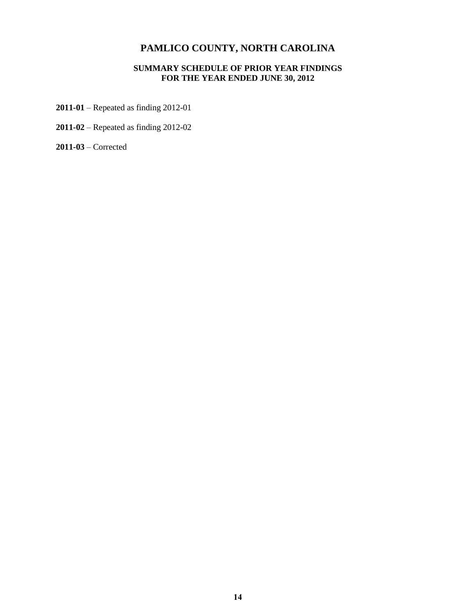#### **SUMMARY SCHEDULE OF PRIOR YEAR FINDINGS FOR THE YEAR ENDED JUNE 30, 2012**

- **2011-01** Repeated as finding 2012-01
- **2011-02** Repeated as finding 2012-02

**2011-03** – Corrected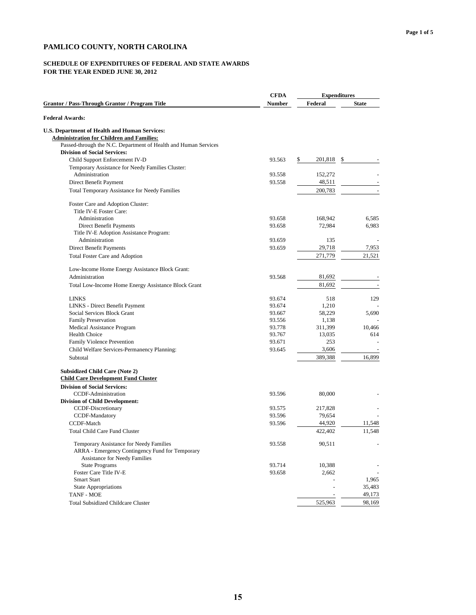### **SCHEDULE OF EXPENDITURES OF FEDERAL AND STATE AWARDS**

|                                                                                                                                    | <b>CFDA</b> | <b>Expenditures</b> |              |
|------------------------------------------------------------------------------------------------------------------------------------|-------------|---------------------|--------------|
| <b>Grantor / Pass-Through Grantor / Program Title</b>                                                                              | Number      | Federal             | <b>State</b> |
| <b>Federal Awards:</b>                                                                                                             |             |                     |              |
| <b>U.S. Department of Health and Human Services:</b><br><b>Administration for Children and Families:</b>                           |             |                     |              |
| Passed-through the N.C. Department of Health and Human Services                                                                    |             |                     |              |
| <b>Division of Social Services:</b>                                                                                                |             |                     |              |
| Child Support Enforcement IV-D                                                                                                     | 93.563      | \$<br>201,818<br>\$ |              |
| Temporary Assistance for Needy Families Cluster:                                                                                   |             |                     |              |
| Administration                                                                                                                     | 93.558      | 152,272             |              |
| Direct Benefit Payment                                                                                                             | 93.558      | 48,511              |              |
| Total Temporary Assistance for Needy Families                                                                                      |             | 200,783             |              |
| Foster Care and Adoption Cluster:<br>Title IV-E Foster Care:                                                                       |             |                     |              |
| Administration                                                                                                                     | 93.658      | 168,942             | 6,585        |
| Direct Benefit Payments                                                                                                            | 93.658      | 72,984              | 6,983        |
| Title IV-E Adoption Assistance Program:                                                                                            |             |                     |              |
| Administration                                                                                                                     | 93.659      | 135                 |              |
| Direct Benefit Payments                                                                                                            | 93.659      | 29,718              | 7,953        |
| Total Foster Care and Adoption                                                                                                     |             | 271,779             | 21,521       |
| Low-Income Home Energy Assistance Block Grant:                                                                                     |             |                     |              |
| Administration                                                                                                                     | 93.568      | 81.692              |              |
| Total Low-Income Home Energy Assistance Block Grant                                                                                |             | 81,692              |              |
| <b>LINKS</b>                                                                                                                       | 93.674      | 518                 | 129          |
| LINKS - Direct Benefit Payment                                                                                                     | 93.674      | 1,210               |              |
| Social Services Block Grant                                                                                                        | 93.667      | 58,229              | 5,690        |
| <b>Family Preservation</b>                                                                                                         | 93.556      | 1,138               |              |
| Medical Assistance Program                                                                                                         | 93.778      | 311,399             | 10,466       |
| Health Choice                                                                                                                      | 93.767      | 13,035              | 614          |
| Family Violence Prevention                                                                                                         | 93.671      | 253                 |              |
| Child Welfare Services-Permanency Planning:                                                                                        | 93.645      | 3,606               |              |
| Subtotal                                                                                                                           |             | 389,388             | 16,899       |
| <b>Subsidized Child Care (Note 2)</b><br><b>Child Care Development Fund Cluster</b>                                                |             |                     |              |
| <b>Division of Social Services:</b>                                                                                                |             |                     |              |
| CCDF-Administration                                                                                                                | 93.596      | 80,000              |              |
| <b>Division of Child Development:</b>                                                                                              |             |                     |              |
| CCDF-Discretionary                                                                                                                 | 93.575      | 217,828             |              |
| CCDF-Mandatory                                                                                                                     | 93.596      | 79,654              |              |
| CCDF-Match                                                                                                                         | 93.596      | 44,920              | 11,548       |
| <b>Total Child Care Fund Cluster</b>                                                                                               |             | 422,402             | 11,548       |
| Temporary Assistance for Needy Families<br>ARRA - Emergency Contingency Fund for Temporary<br><b>Assistance for Needy Families</b> | 93.558      | 90,511              |              |
| <b>State Programs</b>                                                                                                              | 93.714      | 10,388              |              |
| Foster Care Title IV-E                                                                                                             | 93.658      | 2,662               |              |
| <b>Smart Start</b>                                                                                                                 |             |                     | 1,965        |
| <b>State Appropriations</b>                                                                                                        |             |                     | 35,483       |
| TANF - MOE                                                                                                                         |             |                     | 49,173       |
| <b>Total Subsidized Childcare Cluster</b>                                                                                          |             | 525,963             | 98,169       |
|                                                                                                                                    |             |                     |              |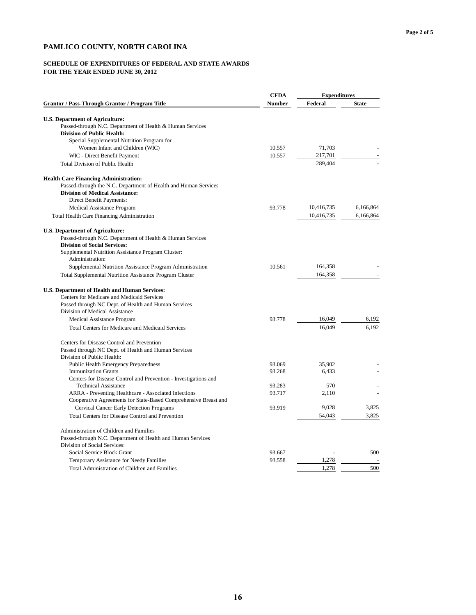#### **SCHEDULE OF EXPENDITURES OF FEDERAL AND STATE AWARDS**

|                                                                 | <b>CFDA</b>   | <b>Expenditures</b> |              |
|-----------------------------------------------------------------|---------------|---------------------|--------------|
| <b>Grantor / Pass-Through Grantor / Program Title</b>           | <b>Number</b> | Federal             | <b>State</b> |
| <b>U.S. Department of Agriculture:</b>                          |               |                     |              |
| Passed-through N.C. Department of Health & Human Services       |               |                     |              |
| <b>Division of Public Health:</b>                               |               |                     |              |
| Special Supplemental Nutrition Program for                      |               |                     |              |
| Women Infant and Children (WIC)                                 | 10.557        | 71,703              |              |
| WIC - Direct Benefit Payment                                    | 10.557        | 217,701             |              |
| <b>Total Division of Public Health</b>                          |               | 289,404             |              |
| <b>Health Care Financing Administration:</b>                    |               |                     |              |
| Passed-through the N.C. Department of Health and Human Services |               |                     |              |
| <b>Division of Medical Assistance:</b>                          |               |                     |              |
| Direct Benefit Payments:                                        |               |                     |              |
| Medical Assistance Program                                      | 93.778        | 10,416,735          | 6,166,864    |
| Total Health Care Financing Administration                      |               | 10,416,735          | 6,166,864    |
| <b>U.S. Department of Agriculture:</b>                          |               |                     |              |
| Passed-through N.C. Department of Health & Human Services       |               |                     |              |
| <b>Division of Social Services:</b>                             |               |                     |              |
| Supplemental Nutrition Assistance Program Cluster:              |               |                     |              |
| Administration:                                                 |               |                     |              |
| Supplemental Nutrition Assistance Program Administration        | 10.561        | 164,358             |              |
| <b>Total Supplemental Nutrition Assistance Program Cluster</b>  |               | 164,358             |              |
| U.S. Department of Health and Human Services:                   |               |                     |              |
| Centers for Medicare and Medicaid Services                      |               |                     |              |
| Passed through NC Dept. of Health and Human Services            |               |                     |              |
| Division of Medical Assistance                                  |               |                     |              |
| Medical Assistance Program                                      | 93.778        | 16,049              | 6,192        |
| Total Centers for Medicare and Medicaid Services                |               | 16,049              | 6,192        |
| Centers for Disease Control and Prevention                      |               |                     |              |
| Passed through NC Dept. of Health and Human Services            |               |                     |              |
| Division of Public Health:                                      |               |                     |              |
| Public Health Emergency Preparedness                            | 93.069        | 35,902              |              |
| <b>Immunization Grants</b>                                      | 93.268        | 6,433               |              |
| Centers for Disease Control and Prevention - Investigations and |               |                     |              |
| <b>Technical Assistance</b>                                     | 93.283        | 570                 |              |
| ARRA - Preventing Healthcare - Associated Infections            | 93.717        | 2,110               |              |
| Cooperative Agreements for State-Based Comprehensive Breast and |               |                     |              |
| <b>Cervical Cancer Early Detection Programs</b>                 | 93.919        | 9,028               | 3,825        |
| Total Centers for Disease Control and Prevention                |               | 54,043              | 3,825        |
| Administration of Children and Families                         |               |                     |              |
| Passed-through N.C. Department of Health and Human Services     |               |                     |              |
| Division of Social Services:                                    |               |                     |              |
| Social Service Block Grant                                      | 93.667        |                     | 500          |
| Temporary Assistance for Needy Families                         | 93.558        | 1,278               |              |
| Total Administration of Children and Families                   |               | 1,278               | 500          |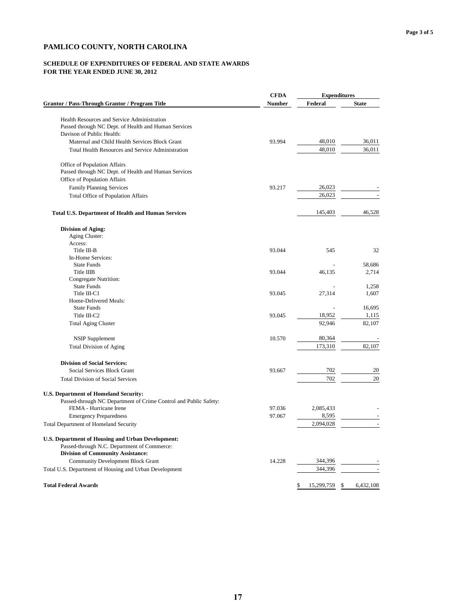#### **SCHEDULE OF EXPENDITURES OF FEDERAL AND STATE AWARDS**

|                                                                                                     | <b>CFDA</b>   | <b>Expenditures</b>    |              |  |
|-----------------------------------------------------------------------------------------------------|---------------|------------------------|--------------|--|
| <b>Grantor / Pass-Through Grantor / Program Title</b>                                               | <b>Number</b> | Federal                | <b>State</b> |  |
|                                                                                                     |               |                        |              |  |
| Health Resources and Service Administration<br>Passed through NC Dept. of Health and Human Services |               |                        |              |  |
| Davison of Public Health:                                                                           |               |                        |              |  |
| Maternal and Child Health Services Block Grant                                                      | 93.994        | 48,010                 | 36,011       |  |
| Total Health Resources and Service Administration                                                   |               | 48,010                 | 36,011       |  |
|                                                                                                     |               |                        |              |  |
| Office of Population Affairs                                                                        |               |                        |              |  |
| Passed through NC Dept. of Health and Human Services                                                |               |                        |              |  |
| Office of Population Affairs                                                                        |               |                        |              |  |
| <b>Family Planning Services</b>                                                                     | 93.217        | 26,023                 |              |  |
| Total Office of Population Affairs                                                                  |               | 26,023                 |              |  |
| <b>Total U.S. Department of Health and Human Services</b>                                           |               | 145,403                | 46,528       |  |
| <b>Division of Aging:</b>                                                                           |               |                        |              |  |
| Aging Cluster:                                                                                      |               |                        |              |  |
| Access:                                                                                             |               |                        |              |  |
| Title III-B                                                                                         | 93.044        | 545                    | 32           |  |
| In-Home Services:                                                                                   |               |                        |              |  |
| <b>State Funds</b>                                                                                  |               |                        | 58,686       |  |
| Title IIIB                                                                                          | 93.044        | 46,135                 | 2,714        |  |
| Congregate Nutrition:                                                                               |               |                        |              |  |
| <b>State Funds</b>                                                                                  |               |                        | 1,258        |  |
| Title III-C1                                                                                        | 93.045        | 27,314                 | 1,607        |  |
| Home-Delivered Meals:                                                                               |               |                        |              |  |
| <b>State Funds</b>                                                                                  |               |                        | 16,695       |  |
| Title III-C2                                                                                        | 93.045        | 18,952                 | 1,115        |  |
| <b>Total Aging Cluster</b>                                                                          |               | 92,946                 | 82,107       |  |
| <b>NSIP</b> Supplement                                                                              | 10.570        | 80,364                 |              |  |
| <b>Total Division of Aging</b>                                                                      |               | 173,310                | 82,107       |  |
| <b>Division of Social Services:</b>                                                                 |               |                        |              |  |
| Social Services Block Grant                                                                         | 93.667        | 702                    | 20           |  |
| <b>Total Division of Social Services</b>                                                            |               | 702                    | 20           |  |
|                                                                                                     |               |                        |              |  |
| U.S. Department of Homeland Security:                                                               |               |                        |              |  |
| Passed-through NC Department of Crime Control and Public Safety:<br>FEMA - Hurricane Irene          | 97.036        |                        |              |  |
|                                                                                                     | 97.067        | 2,085,433<br>8,595     |              |  |
| <b>Emergency Preparedness</b>                                                                       |               |                        |              |  |
| Total Department of Homeland Security                                                               |               | 2,094,028              |              |  |
| U.S. Department of Housing and Urban Development:                                                   |               |                        |              |  |
| Passed-through N.C. Department of Commerce:                                                         |               |                        |              |  |
| <b>Division of Community Assistance:</b>                                                            |               |                        |              |  |
| <b>Community Development Block Grant</b>                                                            | 14.228        | 344,396                |              |  |
| Total U.S. Department of Housing and Urban Development                                              |               | 344,396                |              |  |
| <b>Total Federal Awards</b>                                                                         |               | \$<br>15,299,759<br>\$ | 6,432,108    |  |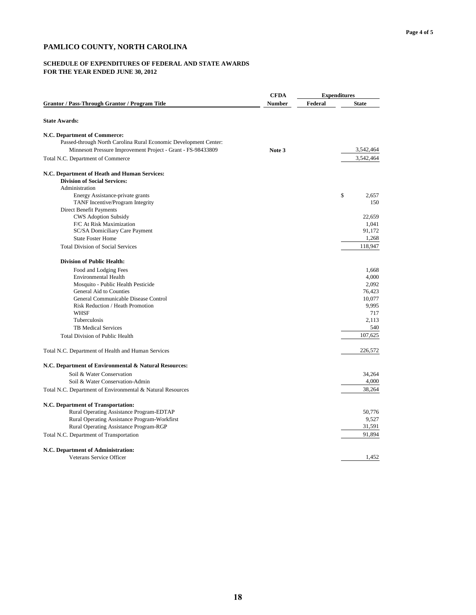#### **SCHEDULE OF EXPENDITURES OF FEDERAL AND STATE AWARDS**

|                                                                                     | <b>CFDA</b> | <b>Expenditures</b> |              |  |
|-------------------------------------------------------------------------------------|-------------|---------------------|--------------|--|
| <b>Grantor / Pass-Through Grantor / Program Title</b>                               | Number      | Federal             | <b>State</b> |  |
| <b>State Awards:</b>                                                                |             |                     |              |  |
| N.C. Department of Commerce:                                                        |             |                     |              |  |
| Passed-through North Carolina Rural Economic Development Center:                    |             |                     |              |  |
| Minnesott Pressure Improvement Project - Grant - FS-98433809                        | Note 3      |                     | 3,542,464    |  |
| Total N.C. Department of Commerce                                                   |             |                     | 3,542,464    |  |
| N.C. Department of Heath and Human Services:<br><b>Division of Social Services:</b> |             |                     |              |  |
| Administration                                                                      |             |                     |              |  |
| Energy Assistance-private grants                                                    |             |                     | \$<br>2,657  |  |
| TANF Incentive/Program Integrity                                                    |             |                     | 150          |  |
| Direct Benefit Payments                                                             |             |                     |              |  |
| <b>CWS Adoption Subsidy</b>                                                         |             |                     | 22,659       |  |
| F/C At Risk Maximization                                                            |             |                     | 1,041        |  |
| SC/SA Domiciliary Care Payment                                                      |             |                     | 91,172       |  |
| <b>State Foster Home</b>                                                            |             |                     | 1,268        |  |
| <b>Total Division of Social Services</b>                                            |             |                     | 118,947      |  |
| <b>Division of Public Health:</b>                                                   |             |                     |              |  |
| Food and Lodging Fees                                                               |             |                     | 1,668        |  |
| <b>Environmental Health</b>                                                         |             |                     | 4,000        |  |
| Mosquito - Public Health Pesticide                                                  |             |                     | 2,092        |  |
| General Aid to Counties                                                             |             |                     | 76,423       |  |
| General Communicable Disease Control                                                |             |                     | 10,077       |  |
| Risk Reduction / Heath Promotion                                                    |             |                     | 9,995        |  |
| <b>WHSF</b>                                                                         |             |                     | 717          |  |
| Tuberculosis                                                                        |             |                     | 2,113        |  |
| <b>TB Medical Services</b>                                                          |             |                     | 540          |  |
| Total Division of Public Health                                                     |             |                     | 107,625      |  |
| Total N.C. Department of Health and Human Services                                  |             |                     | 226,572      |  |
| N.C. Department of Environmental & Natural Resources:                               |             |                     |              |  |
| Soil & Water Conservation                                                           |             |                     | 34,264       |  |
| Soil & Water Conservation-Admin                                                     |             |                     | 4,000        |  |
| Total N.C. Department of Environmental & Natural Resources                          |             |                     | 38,264       |  |
| N.C. Department of Transportation:                                                  |             |                     |              |  |
| Rural Operating Assistance Program-EDTAP                                            |             |                     | 50,776       |  |
| Rural Operating Assistance Program-Workfirst                                        |             |                     | 9,527        |  |
| Rural Operating Assistance Program-RGP                                              |             |                     | 31,591       |  |
| Total N.C. Department of Transportation                                             |             |                     | 91,894       |  |
| N.C. Department of Administration:                                                  |             |                     |              |  |
| Veterans Service Officer                                                            |             |                     | 1,452        |  |